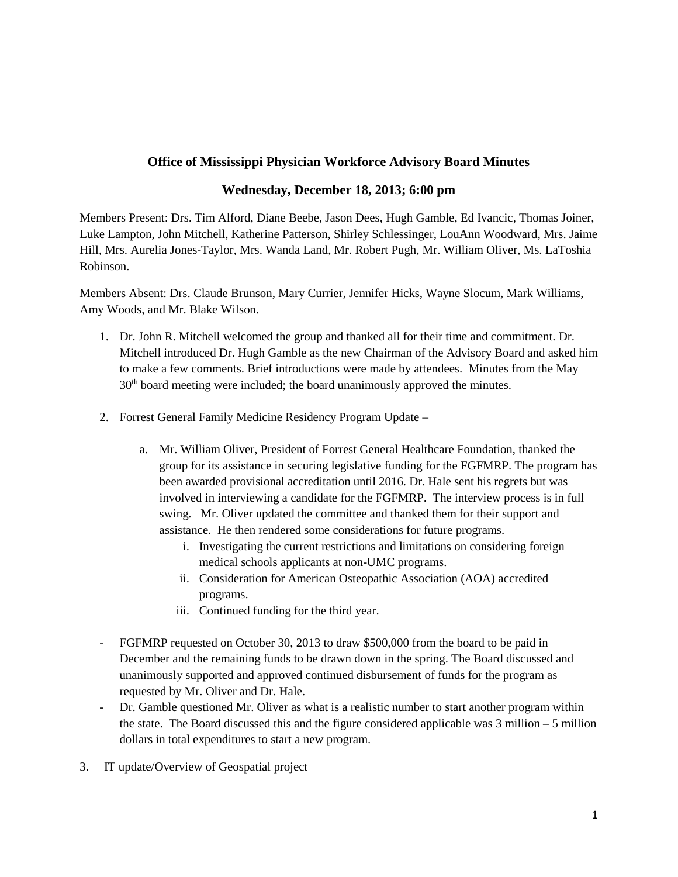## **Office of Mississippi Physician Workforce Advisory Board Minutes**

## **Wednesday, December 18, 2013; 6:00 pm**

Members Present: Drs. Tim Alford, Diane Beebe, Jason Dees, Hugh Gamble, Ed Ivancic, Thomas Joiner, Luke Lampton, John Mitchell, Katherine Patterson, Shirley Schlessinger, LouAnn Woodward, Mrs. Jaime Hill, Mrs. Aurelia Jones-Taylor, Mrs. Wanda Land, Mr. Robert Pugh, Mr. William Oliver, Ms. LaToshia Robinson.

Members Absent: Drs. Claude Brunson, Mary Currier, Jennifer Hicks, Wayne Slocum, Mark Williams, Amy Woods, and Mr. Blake Wilson.

- 1. Dr. John R. Mitchell welcomed the group and thanked all for their time and commitment. Dr. Mitchell introduced Dr. Hugh Gamble as the new Chairman of the Advisory Board and asked him to make a few comments. Brief introductions were made by attendees. Minutes from the May  $30<sup>th</sup>$  board meeting were included; the board unanimously approved the minutes.
- 2. Forrest General Family Medicine Residency Program Update
	- a. Mr. William Oliver, President of Forrest General Healthcare Foundation, thanked the group for its assistance in securing legislative funding for the FGFMRP. The program has been awarded provisional accreditation until 2016. Dr. Hale sent his regrets but was involved in interviewing a candidate for the FGFMRP. The interview process is in full swing. Mr. Oliver updated the committee and thanked them for their support and assistance. He then rendered some considerations for future programs.
		- i. Investigating the current restrictions and limitations on considering foreign medical schools applicants at non-UMC programs.
		- ii. Consideration for American Osteopathic Association (AOA) accredited programs.
		- iii. Continued funding for the third year.
- FGFMRP requested on October 30, 2013 to draw \$500,000 from the board to be paid in December and the remaining funds to be drawn down in the spring. The Board discussed and unanimously supported and approved continued disbursement of funds for the program as requested by Mr. Oliver and Dr. Hale.
- Dr. Gamble questioned Mr. Oliver as what is a realistic number to start another program within the state. The Board discussed this and the figure considered applicable was  $3$  million  $-5$  million dollars in total expenditures to start a new program.
- 3. IT update/Overview of Geospatial project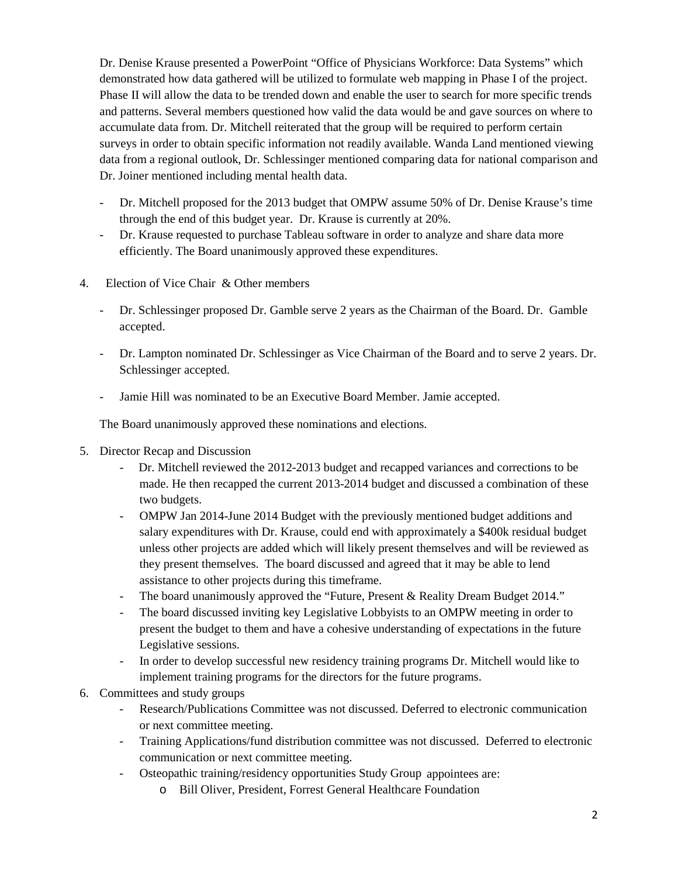Dr. Denise Krause presented a PowerPoint "Office of Physicians Workforce: Data Systems" which demonstrated how data gathered will be utilized to formulate web mapping in Phase I of the project. Phase II will allow the data to be trended down and enable the user to search for more specific trends and patterns. Several members questioned how valid the data would be and gave sources on where to accumulate data from. Dr. Mitchell reiterated that the group will be required to perform certain surveys in order to obtain specific information not readily available. Wanda Land mentioned viewing data from a regional outlook, Dr. Schlessinger mentioned comparing data for national comparison and Dr. Joiner mentioned including mental health data.

- Dr. Mitchell proposed for the 2013 budget that OMPW assume 50% of Dr. Denise Krause's time through the end of this budget year. Dr. Krause is currently at 20%.
- Dr. Krause requested to purchase Tableau software in order to analyze and share data more efficiently. The Board unanimously approved these expenditures.
- 4. Election of Vice Chair & Other members
	- Dr. Schlessinger proposed Dr. Gamble serve 2 years as the Chairman of the Board. Dr. Gamble accepted.
	- Dr. Lampton nominated Dr. Schlessinger as Vice Chairman of the Board and to serve 2 years. Dr. Schlessinger accepted.
	- Jamie Hill was nominated to be an Executive Board Member. Jamie accepted.

The Board unanimously approved these nominations and elections.

- 5. Director Recap and Discussion
	- Dr. Mitchell reviewed the 2012-2013 budget and recapped variances and corrections to be made. He then recapped the current 2013-2014 budget and discussed a combination of these two budgets.
	- OMPW Jan 2014-June 2014 Budget with the previously mentioned budget additions and salary expenditures with Dr. Krause, could end with approximately a \$400k residual budget unless other projects are added which will likely present themselves and will be reviewed as they present themselves. The board discussed and agreed that it may be able to lend assistance to other projects during this timeframe.
	- The board unanimously approved the "Future, Present & Reality Dream Budget 2014."
	- The board discussed inviting key Legislative Lobbyists to an OMPW meeting in order to present the budget to them and have a cohesive understanding of expectations in the future Legislative sessions.
	- In order to develop successful new residency training programs Dr. Mitchell would like to implement training programs for the directors for the future programs.
- 6. Committees and study groups
	- Research/Publications Committee was not discussed. Deferred to electronic communication or next committee meeting.
	- Training Applications/fund distribution committee was not discussed. Deferred to electronic communication or next committee meeting.
	- Osteopathic training/residency opportunities Study Group appointees are:
		- o Bill Oliver, President, Forrest General Healthcare Foundation